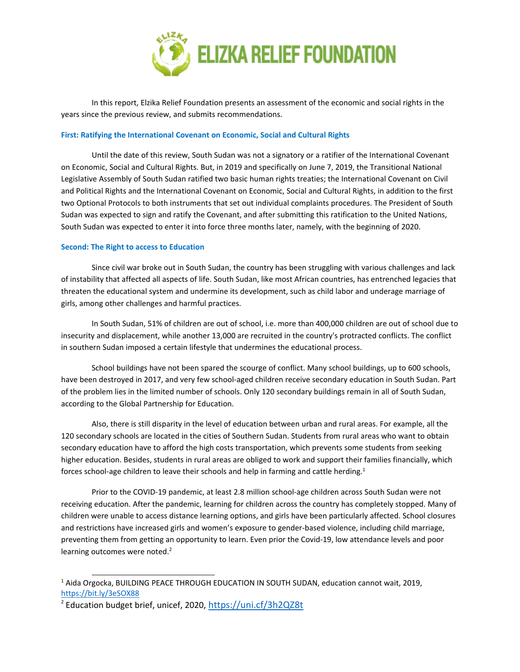

In this report, Elzika Relief Foundation presents an assessment of the economic and social rights in the years since the previous review, and submits recommendations.

#### **First: Ratifying the International Covenant on Economic, Social and Cultural Rights**

Until the date of this review, South Sudan was not <sup>a</sup> signatory or <sup>a</sup> ratifier of the International Covenant on Economic, Social and Cultural Rights. But, in 2019 and specifically on June 7, 2019, the Transitional National Legislative Assembly of South Sudan ratified two basic human rights treaties; the International Covenant on Civil and Political Rights and the International Covenant on Economic, Social and Cultural Rights, in addition to the first two Optional Protocols to both instruments that set out individual complaints procedures. The President of South Sudan was expected to sign and ratify the Covenant, and after submitting this ratification to the United Nations, South Sudan was expected to enter it into force three months later, namely, with the beginning of 2020.

#### **Second: The Right to access to Education**

Since civil war broke out in South Sudan, the country has been struggling with various challenges and lack of instability that affected all aspects of life. South Sudan, like most African countries, has entrenched legacies that threaten the educational system and undermine its development, such as child labor and underage marriage of girls, among other challenges and harmful practices.

In South Sudan, 51% of children are out of school, i.e. more than 400,000 children are out of school due to insecurity and displacement, while another 13,000 are recruited in the country's protracted conflicts. The conflict in southern Sudan imposed <sup>a</sup> certain lifestyle that undermines the educational process.

School buildings have not been spared the scourge of conflict. Many school buildings, up to 600 schools, have been destroyed in 2017, and very few school-aged children receive secondary education in South Sudan. Part of the problem lies in the limited number of schools. Only 120 secondary buildings remain in all of South Sudan, according to the Global Partnership for Education.

Also, there is still disparity in the level of education between urban and rural areas. For example, all the 120 secondary schools are located in the cities of Southern Sudan. Students from rural areas who want to obtain secondary education have to afford the high costs transportation, which prevents some students from seeking higher education. Besides, students in rural areas are obliged to work and support their families financially, which forces school-age children to leave their schools and help in farming and cattle herding.<sup>1</sup>

Prior to the COVID-19 pandemic, at least 2.8 million school-age children across South Sudan were not receiving education. After the pandemic, learning for children across the country has completely stopped. Many of children were unable to access distance learning options, and girls have been particularly affected. School closures and restrictions have increased girls and women'<sup>s</sup> exposure to gender-based violence, including child marriage, preventing them from getting an opportunity to learn. Even prior the Covid-19, low attendance levels and poor learning outcomes were noted.<sup>2</sup>

<sup>&</sup>lt;sup>1</sup> Aida Orgocka, BUILDING PEACE THROUGH EDUCATION IN SOUTH SUDAN, education cannot wait, 2019, <https://bit.ly/3eSOX88>

<sup>&</sup>lt;sup>2</sup> Education budget brief, unicef, 2020, <https://uni.cf/3h2QZ8t>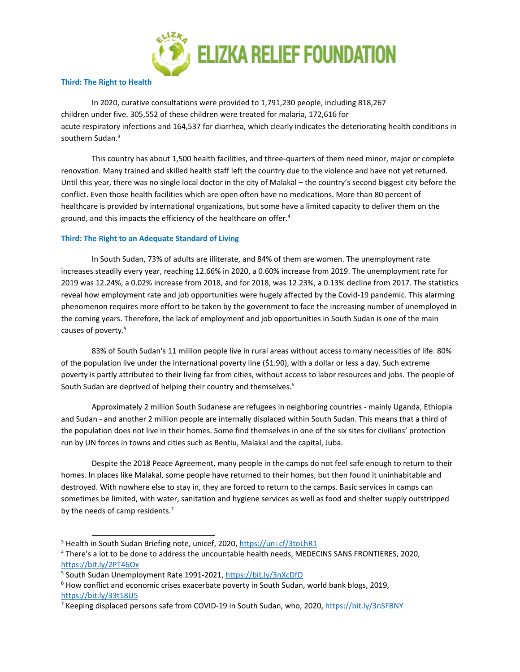

### **Third: The Right to Health**

In 2020, curative consultations were provided to 1,791,230 people, including 818,267 children under five. 305,552 of these children were treated for malaria, 172,616 for acute respiratory infections and 164,537 for diarrhea, which clearly indicates the deteriorating health conditions in southern Sudan.<sup>3</sup>

This country has about 1,500 health facilities, and three-quarters of them need minor, major or complete renovation. Many trained and skilled health staff left the country due to the violence and have not yet returned. Until this year, there was no single local doctor in the city of Malakal – the country'<sup>s</sup> second biggest city before the conflict. Even those health facilities which are open often have no medications. More than 80 percent of healthcare is provided by international organizations, but some have <sup>a</sup> limited capacity to deliver them on the ground, and this impacts the efficiency of the healthcare on offer. 4

## **Third: The Right to an Adequate Standard of Living**

In South Sudan, 73% of adults are illiterate, and 84% of them are women. The unemployment rate increases steadily every year, reaching 12.66% in 2020, <sup>a</sup> 0.60% increase from 2019. The unemployment rate for 2019 was 12.24%, <sup>a</sup> 0.02% increase from 2018, and for 2018, was 12.23%, <sup>a</sup> 0.13% decline from 2017. The statistics reveal how employment rate and job opportunities were hugely affected by the Covid-19 pandemic. This alarming phenomenon requires more effort to be taken by the government to face the increasing number of unemployed in the coming years. Therefore, the lack of employment and job opportunities in South Sudan is one of the main causes of poverty. 5

83% of South Sudan's 11 million people live in rural areas without access to many necessities of life. 80% of the population live under the international poverty line (\$1.90), with <sup>a</sup> dollar or less <sup>a</sup> day. Such extreme poverty is partly attributed to their living far from cities, without access to labor resources and jobs. The people of South Sudan are deprived of helping their country and themselves.<sup>6</sup>

Approximately 2 million South Sudanese are refugees in neighboring countries - mainly Uganda, Ethiopia and Sudan - and another 2 million people are internally displaced within South Sudan. This means that <sup>a</sup> third of the population does not live in their homes. Some find themselves in one of the six sites for civilians' protection run by UN forces in towns and cities such as Bentiu, Malakal and the capital, Juba.

Despite the 2018 Peace Agreement, many people in the camps do not feel safe enough to return to their homes. In places like Malakal, some people have returned to their homes, but then found it uninhabitable and destroyed. With nowhere else to stay in, they are forced to return to the camps. Basic services in camps can sometimes be limited, with water, sanitation and hygiene services as well as food and shelter supply outstripped by the needs of camp residents.<sup>7</sup>

<sup>&</sup>lt;sup>3</sup> Health in South Sudan Briefing note, unicef, 2020, <https://uni.cf/3toLhR1>

<sup>4</sup> There'<sup>s</sup> <sup>a</sup> lot to be done to address the uncountable health needs, MEDECINS SANS FRONTIERES, 2020, <https://bit.ly/2PT46Ox>

<sup>&</sup>lt;sup>5</sup> South Sudan Unemployment Rate 1991-2021, <https://bit.ly/3nXcDfO>

<sup>&</sup>lt;sup>6</sup> How conflict and economic crises exacerbate poverty in South Sudan, world bank blogs, 2019, <https://bit.ly/33t18U5>

<sup>&</sup>lt;sup>7</sup> Keeping displaced persons safe from COVID-19 in South Sudan, who, 2020, <https://bit.ly/3nSFBNY>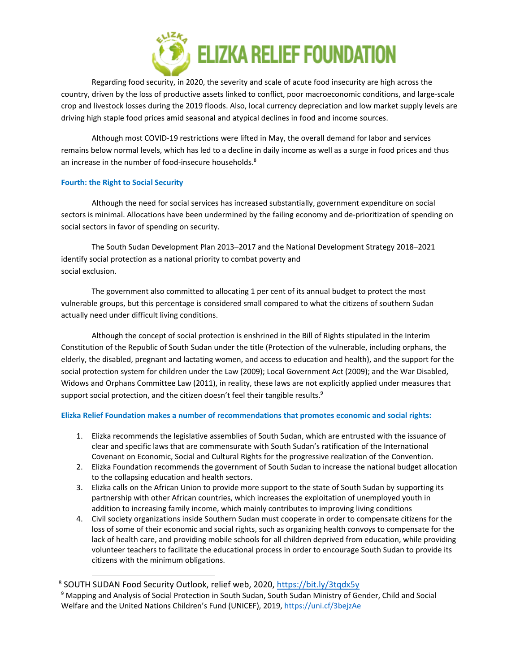

Regarding food security, in 2020, the severity and scale of acute food insecurity are high across the country, driven by the loss of productive assets linked to conflict, poor macroeconomic conditions, and large-scale crop and livestock losses during the 2019 floods. Also, local currency depreciation and low market supply levels are driving high staple food prices amid seasonal and atypical declines in food and income sources.

Although most COVID-19 restrictions were lifted in May, the overall demand for labor and services remains below normal levels, which has led to <sup>a</sup> decline in daily income as well as <sup>a</sup> surge in food prices and thus an increase in the number of food-insecure households. 8

## **Fourth: the Right to Social Security**

Although the need for social services has increased substantially, government expenditure on social sectors is minimal. Allocations have been undermined by the failing economy and de-prioritization of spending on social sectors in favor of spending on security.

The South Sudan Development Plan 2013–2017 and the National Development Strategy 2018–2021 identify social protection as <sup>a</sup> national priority to combat poverty and social exclusion.

The government also committed to allocating 1 per cent of its annual budget to protect the most vulnerable groups, but this percentage is considered small compared to what the citizens of southern Sudan actually need under difficult living conditions.

Although the concept of social protection is enshrined in the Bill of Rights stipulated in the Interim Constitution of the Republic of South Sudan under the title (Protection of the vulnerable, including orphans, the elderly, the disabled, pregnant and lactating women, and access to education and health), and the support for the social protection system for children under the Law (2009); Local Government Act (2009); and the War Disabled, Widows and Orphans Committee Law (2011), in reality, these laws are not explicitly applied under measures that support social protection, and the citizen doesn't feel their tangible results.<sup>9</sup>

# **Elizka Relief Foundation makes <sup>a</sup> number of recommendations that promotes economic and social rights:**

- 1. Elizka recommends the legislative assemblies of South Sudan, which are entrusted with the issuance of clear and specific laws that are commensurate with South Sudan'<sup>s</sup> ratification of the International Covenant on Economic, Social and Cultural Rights for the progressive realization of the Convention.
- 2. Elizka Foundation recommends the government of South Sudan to increase the national budget allocation to the collapsing education and health sectors.
- 3. Elizka calls on the African Union to provide more support to the state of South Sudan by supporting its partnership with other African countries, which increases the exploitation of unemployed youth in addition to increasing family income, which mainly contributes to improving living conditions
- 4. Civil society organizations inside Southern Sudan must cooperate in order to compensate citizens for the loss of some of their economic and social rights, such as organizing health convoys to compensate for the lack of health care, and providing mobile schools for all children deprived from education, while providing volunteer teachers to facilitate the educational process in order to encourage South Sudan to provide its citizens with the minimum obligations.

<sup>&</sup>lt;sup>8</sup> SOUTH SUDAN Food Security Outlook, relief web, 2020, <https://bit.ly/3tqdx5y>

<sup>9</sup> Mapping and Analysis of Social Protection in South Sudan, South Sudan Ministry of Gender, Child and Social Welfare and the United Nations Children'<sup>s</sup> Fund (UNICEF), 2019, <https://uni.cf/3bejzAe>